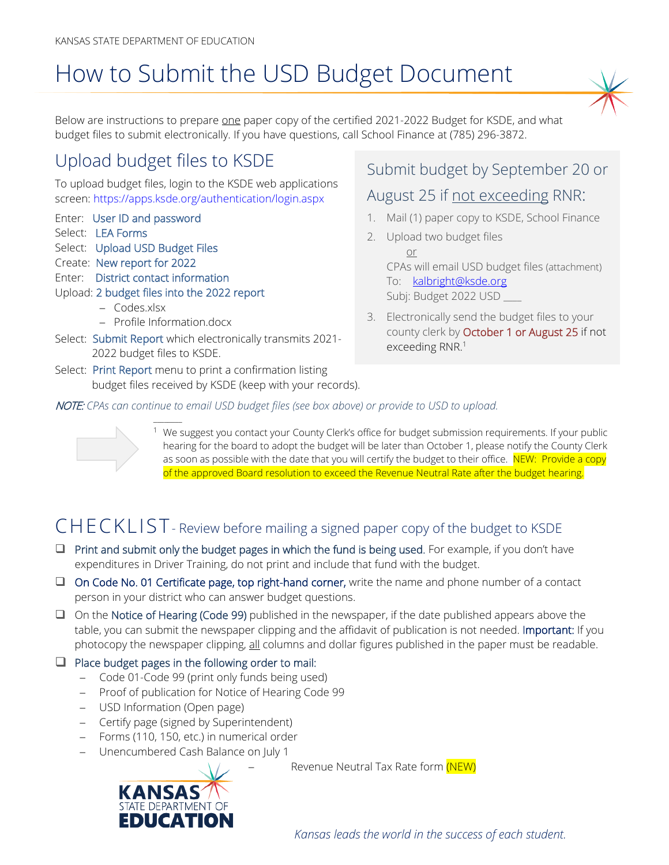# How to Submit the USD Budget Document

Below are instructions to prepare one paper copy of the certified 2021-2022 Budget for KSDE, and what budget files to submit electronically. If you have questions, call School Finance at (785) 296-3872.

# Upload budget files to KSDE

To upload budget files, login to the KSDE web applications screen:<https://apps.ksde.org/authentication/login.aspx>

- Enter: User ID and password
- Select: LEA Forms
- Select: Upload USD Budget Files
- Create: New report for 2022
- Enter: District contact information
- Upload: 2 budget files into the 2022 report
	- − Codes.xlsx
	- − Profile Information.docx

 $\overline{\phantom{a}}$ 

- Select: Submit Report which electronically transmits 2021- 2022 budget files to KSDE.
- Select: Print Report menu to print a confirmation listing budget files received by KSDE (keep with your records).

### Submit budget by September 20 or

### August 25 if not exceeding RNR:

- 1. Mail (1) paper copy to KSDE, School Finance
- 2. Upload two budget files or CPAs will email USD budget files (attachment) To: [kalbright@ksde.org](mailto:kalbright@ksde.org) Subj: Budget 2022 USD \_\_\_\_
- 3. Electronically send the budget files to your county clerk by October 1 or August 25 if not exceeding RNR. 1

NOTE: *CPAs can continue to email USD budget files (see box above) or provide to USD to upload.* 



We suggest you contact your County Clerk's office for budget submission requirements. If your public hearing for the board to adopt the budget will be later than October 1, please notify the County Clerk as soon as possible with the date that you will certify the budget to their office. NEW: Provide a copy of the approved Board resolution to exceed the Revenue Neutral Rate after the budget hearing.

# CHECKLIST- Review before mailing a signed paper copy of the budget to KSDE

- $\Box$  Print and submit only the budget pages in which the fund is being used. For example, if you don't have expenditures in Driver Training, do not print and include that fund with the budget.
- □ On Code No. 01 Certificate page, top right-hand corner, write the name and phone number of a contact person in your district who can answer budget questions.
- $\Box$  On the Notice of Hearing (Code 99) published in the newspaper, if the date published appears above the table, you can submit the newspaper clipping and the affidavit of publication is not needed. Important: If you photocopy the newspaper clipping, all columns and dollar figures published in the paper must be readable.

#### $\Box$  Place budget pages in the following order to mail:

- − Code 01-Code 99 (print only funds being used)
- − Proof of publication for Notice of Hearing Code 99
- − USD Information (Open page)

**STATE DEPARTMENT EDUCATIO** 

- − Certify page (signed by Superintendent)
- − Forms (110, 150, etc.) in numerical order
- − Unencumbered Cash Balance on July 1

Revenue Neutral Tax Rate form (NEW)

*Kansas leads the world in the success of each student.*